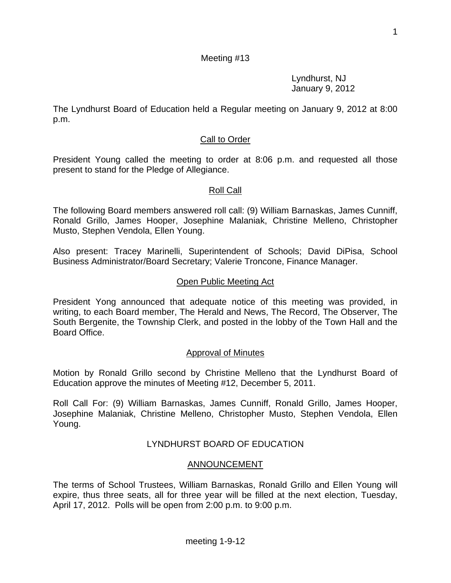## Meeting #13

Lyndhurst, NJ January 9, 2012

The Lyndhurst Board of Education held a Regular meeting on January 9, 2012 at 8:00 p.m.

## Call to Order

President Young called the meeting to order at 8:06 p.m. and requested all those present to stand for the Pledge of Allegiance.

## Roll Call

The following Board members answered roll call: (9) William Barnaskas, James Cunniff, Ronald Grillo, James Hooper, Josephine Malaniak, Christine Melleno, Christopher Musto, Stephen Vendola, Ellen Young.

Also present: Tracey Marinelli, Superintendent of Schools; David DiPisa, School Business Administrator/Board Secretary; Valerie Troncone, Finance Manager.

## Open Public Meeting Act

President Yong announced that adequate notice of this meeting was provided, in writing, to each Board member, The Herald and News, The Record, The Observer, The South Bergenite, the Township Clerk, and posted in the lobby of the Town Hall and the Board Office.

## Approval of Minutes

Motion by Ronald Grillo second by Christine Melleno that the Lyndhurst Board of Education approve the minutes of Meeting #12, December 5, 2011.

Roll Call For: (9) William Barnaskas, James Cunniff, Ronald Grillo, James Hooper, Josephine Malaniak, Christine Melleno, Christopher Musto, Stephen Vendola, Ellen Young.

# LYNDHURST BOARD OF EDUCATION

## ANNOUNCEMENT

The terms of School Trustees, William Barnaskas, Ronald Grillo and Ellen Young will expire, thus three seats, all for three year will be filled at the next election, Tuesday, April 17, 2012. Polls will be open from 2:00 p.m. to 9:00 p.m.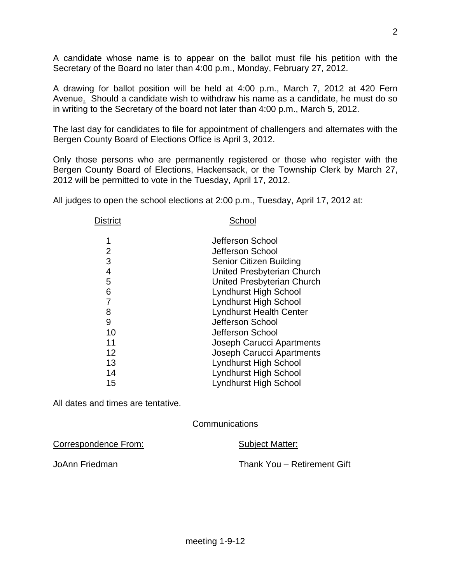A candidate whose name is to appear on the ballot must file his petition with the Secretary of the Board no later than 4:00 p.m., Monday, February 27, 2012.

A drawing for ballot position will be held at 4:00 p.m., March 7, 2012 at 420 Fern Avenue. Should a candidate wish to withdraw his name as a candidate, he must do so in writing to the Secretary of the board not later than 4:00 p.m., March 5, 2012.

The last day for candidates to file for appointment of challengers and alternates with the Bergen County Board of Elections Office is April 3, 2012.

Only those persons who are permanently registered or those who register with the Bergen County Board of Elections, Hackensack, or the Township Clerk by March 27, 2012 will be permitted to vote in the Tuesday, April 17, 2012.

All judges to open the school elections at 2:00 p.m., Tuesday, April 17, 2012 at:

| District | School                           |
|----------|----------------------------------|
| 1        | Jefferson School                 |
| 2        | Jefferson School                 |
| 3        | Senior Citizen Building          |
| 4        | United Presbyterian Church       |
| 5        | United Presbyterian Church       |
| 6        | <b>Lyndhurst High School</b>     |
| 7        | <b>Lyndhurst High School</b>     |
| 8        | <b>Lyndhurst Health Center</b>   |
| 9        | Jefferson School                 |
| 10       | Jefferson School                 |
| 11       | Joseph Carucci Apartments        |
| 12       | <b>Joseph Carucci Apartments</b> |
| 13       | <b>Lyndhurst High School</b>     |
| 14       | <b>Lyndhurst High School</b>     |
| 15       | <b>Lyndhurst High School</b>     |

All dates and times are tentative.

Communications

Correspondence From: Subject Matter:

JoAnn Friedman Thank You – Retirement Gift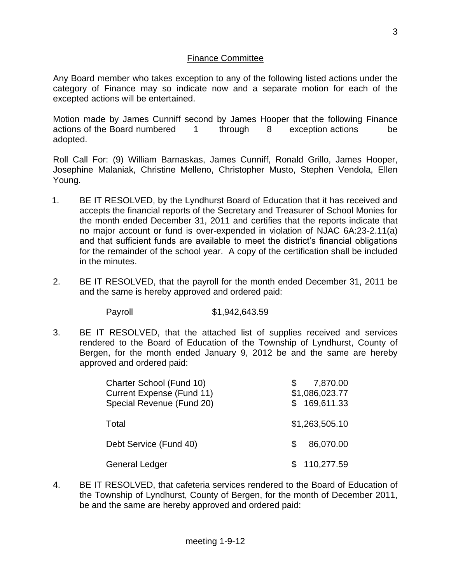## Finance Committee

Any Board member who takes exception to any of the following listed actions under the category of Finance may so indicate now and a separate motion for each of the excepted actions will be entertained.

Motion made by James Cunniff second by James Hooper that the following Finance actions of the Board numbered 1 through 8 exception actions be adopted.

Roll Call For: (9) William Barnaskas, James Cunniff, Ronald Grillo, James Hooper, Josephine Malaniak, Christine Melleno, Christopher Musto, Stephen Vendola, Ellen Young.

- 1. BE IT RESOLVED, by the Lyndhurst Board of Education that it has received and accepts the financial reports of the Secretary and Treasurer of School Monies for the month ended December 31, 2011 and certifies that the reports indicate that no major account or fund is over-expended in violation of NJAC 6A:23-2.11(a) and that sufficient funds are available to meet the district's financial obligations for the remainder of the school year. A copy of the certification shall be included in the minutes.
- 2. BE IT RESOLVED, that the payroll for the month ended December 31, 2011 be and the same is hereby approved and ordered paid:

Payroll \$1,942,643.59

3. BE IT RESOLVED, that the attached list of supplies received and services rendered to the Board of Education of the Township of Lyndhurst, County of Bergen, for the month ended January 9, 2012 be and the same are hereby approved and ordered paid:

| Charter School (Fund 10)<br><b>Current Expense (Fund 11)</b><br>Special Revenue (Fund 20) | S.  | 7,870.00<br>\$1,086,023.77<br>169,611.33 |
|-------------------------------------------------------------------------------------------|-----|------------------------------------------|
| Total                                                                                     |     | \$1,263,505.10                           |
| Debt Service (Fund 40)                                                                    | \$. | 86,070.00                                |
| <b>General Ledger</b>                                                                     |     | 110,277.59                               |

4. BE IT RESOLVED, that cafeteria services rendered to the Board of Education of the Township of Lyndhurst, County of Bergen, for the month of December 2011, be and the same are hereby approved and ordered paid: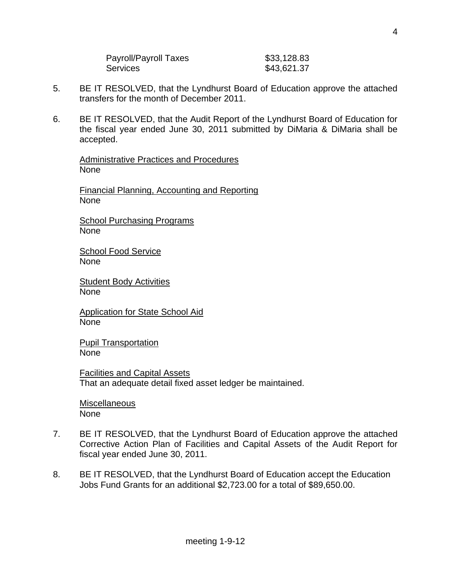| <b>Payroll/Payroll Taxes</b> | \$33,128.83 |
|------------------------------|-------------|
| Services                     | \$43,621.37 |

- 5. BE IT RESOLVED, that the Lyndhurst Board of Education approve the attached transfers for the month of December 2011.
- 6. BE IT RESOLVED, that the Audit Report of the Lyndhurst Board of Education for the fiscal year ended June 30, 2011 submitted by DiMaria & DiMaria shall be accepted.

Administrative Practices and Procedures None

Financial Planning, Accounting and Reporting None

School Purchasing Programs None

**School Food Service** None

**Student Body Activities** None

Application for State School Aid None

Pupil Transportation None

Facilities and Capital Assets That an adequate detail fixed asset ledger be maintained.

**Miscellaneous** None

- 7. BE IT RESOLVED, that the Lyndhurst Board of Education approve the attached Corrective Action Plan of Facilities and Capital Assets of the Audit Report for fiscal year ended June 30, 2011.
- 8. BE IT RESOLVED, that the Lyndhurst Board of Education accept the Education Jobs Fund Grants for an additional \$2,723.00 for a total of \$89,650.00.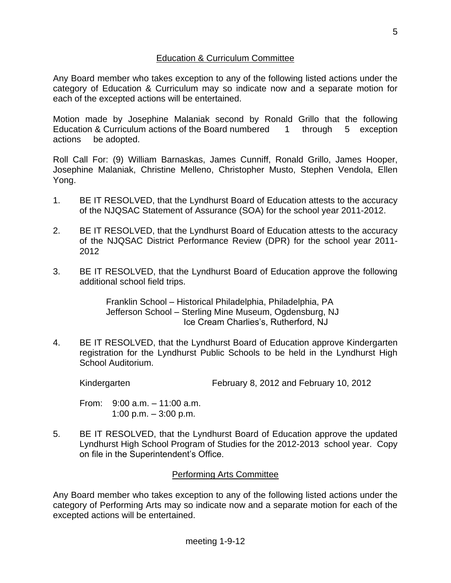# Education & Curriculum Committee

Any Board member who takes exception to any of the following listed actions under the category of Education & Curriculum may so indicate now and a separate motion for each of the excepted actions will be entertained.

Motion made by Josephine Malaniak second by Ronald Grillo that the following Education & Curriculum actions of the Board numbered 1 through 5 exception actions be adopted.

Roll Call For: (9) William Barnaskas, James Cunniff, Ronald Grillo, James Hooper, Josephine Malaniak, Christine Melleno, Christopher Musto, Stephen Vendola, Ellen Yong.

- 1. BE IT RESOLVED, that the Lyndhurst Board of Education attests to the accuracy of the NJQSAC Statement of Assurance (SOA) for the school year 2011-2012.
- 2. BE IT RESOLVED, that the Lyndhurst Board of Education attests to the accuracy of the NJQSAC District Performance Review (DPR) for the school year 2011- 2012
- 3. BE IT RESOLVED, that the Lyndhurst Board of Education approve the following additional school field trips.

Franklin School – Historical Philadelphia, Philadelphia, PA Jefferson School – Sterling Mine Museum, Ogdensburg, NJ Ice Cream Charlies's, Rutherford, NJ

4. BE IT RESOLVED, that the Lyndhurst Board of Education approve Kindergarten registration for the Lyndhurst Public Schools to be held in the Lyndhurst High School Auditorium.

Kindergarten **February 8, 2012 and February 10, 2012** 

From: 9:00 a.m. – 11:00 a.m. 1:00 p.m. – 3:00 p.m.

5. BE IT RESOLVED, that the Lyndhurst Board of Education approve the updated Lyndhurst High School Program of Studies for the 2012-2013 school year. Copy on file in the Superintendent's Office.

## Performing Arts Committee

Any Board member who takes exception to any of the following listed actions under the category of Performing Arts may so indicate now and a separate motion for each of the excepted actions will be entertained.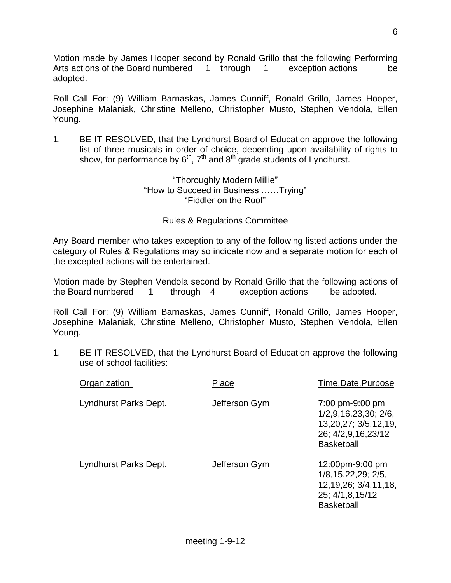Motion made by James Hooper second by Ronald Grillo that the following Performing Arts actions of the Board numbered 1 through 1 exception actions be adopted.

Roll Call For: (9) William Barnaskas, James Cunniff, Ronald Grillo, James Hooper, Josephine Malaniak, Christine Melleno, Christopher Musto, Stephen Vendola, Ellen Young.

1. BE IT RESOLVED, that the Lyndhurst Board of Education approve the following list of three musicals in order of choice, depending upon availability of rights to show, for performance by  $6<sup>th</sup>$ ,  $7<sup>th</sup>$  and  $8<sup>th</sup>$  grade students of Lyndhurst.

## "Thoroughly Modern Millie" "How to Succeed in Business ……Trying" "Fiddler on the Roof"

# Rules & Regulations Committee

Any Board member who takes exception to any of the following listed actions under the category of Rules & Regulations may so indicate now and a separate motion for each of the excepted actions will be entertained.

Motion made by Stephen Vendola second by Ronald Grillo that the following actions of the Board numbered 1 through 4 exception actions be adopted.

Roll Call For: (9) William Barnaskas, James Cunniff, Ronald Grillo, James Hooper, Josephine Malaniak, Christine Melleno, Christopher Musto, Stephen Vendola, Ellen Young.

1. BE IT RESOLVED, that the Lyndhurst Board of Education approve the following use of school facilities:

| Organization          | Place         | Time, Date, Purpose                                                                                            |
|-----------------------|---------------|----------------------------------------------------------------------------------------------------------------|
| Lyndhurst Parks Dept. | Jefferson Gym | 7:00 pm-9:00 pm<br>1/2, 9, 16, 23, 30; 2/6,<br>13,20,27; 3/5,12,19,<br>26; 4/2,9,16,23/12<br><b>Basketball</b> |
| Lyndhurst Parks Dept. | Jefferson Gym | 12:00pm-9:00 pm<br>1/8, 15, 22, 29; 2/5,<br>12, 19, 26; 3/4, 11, 18,<br>25; 4/1,8,15/12<br><b>Basketball</b>   |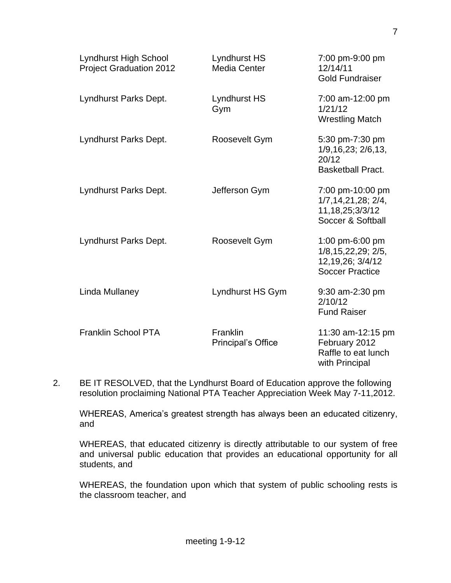| <b>Lyndhurst High School</b><br><b>Project Graduation 2012</b> | Lyndhurst HS<br>Media Center          | 7:00 pm-9:00 pm<br>12/14/11<br><b>Gold Fundraiser</b>                                    |
|----------------------------------------------------------------|---------------------------------------|------------------------------------------------------------------------------------------|
| Lyndhurst Parks Dept.                                          | Lyndhurst HS<br>Gym                   | 7:00 am-12:00 pm<br>1/21/12<br><b>Wrestling Match</b>                                    |
| Lyndhurst Parks Dept.                                          | Roosevelt Gym                         | 5:30 pm-7:30 pm<br>1/9, 16, 23; 2/6, 13,<br>20/12<br><b>Basketball Pract.</b>            |
| Lyndhurst Parks Dept.                                          | Jefferson Gym                         | 7:00 pm-10:00 pm<br>1/7, 14, 21, 28; 2/4,<br>11, 18, 25; 3/3/12<br>Soccer & Softball     |
| Lyndhurst Parks Dept.                                          | Roosevelt Gym                         | 1:00 pm-6:00 pm<br>1/8, 15, 22, 29; 2/5,<br>12, 19, 26; 3/4/12<br><b>Soccer Practice</b> |
| Linda Mullaney                                                 | Lyndhurst HS Gym                      | 9:30 am-2:30 pm<br>2/10/12<br><b>Fund Raiser</b>                                         |
| <b>Franklin School PTA</b>                                     | Franklin<br><b>Principal's Office</b> | 11:30 am-12:15 pm<br>February 2012<br>Raffle to eat lunch<br>with Principal              |

2. BE IT RESOLVED, that the Lyndhurst Board of Education approve the following resolution proclaiming National PTA Teacher Appreciation Week May 7-11,2012.

WHEREAS, America's greatest strength has always been an educated citizenry, and

WHEREAS, that educated citizenry is directly attributable to our system of free and universal public education that provides an educational opportunity for all students, and

WHEREAS, the foundation upon which that system of public schooling rests is the classroom teacher, and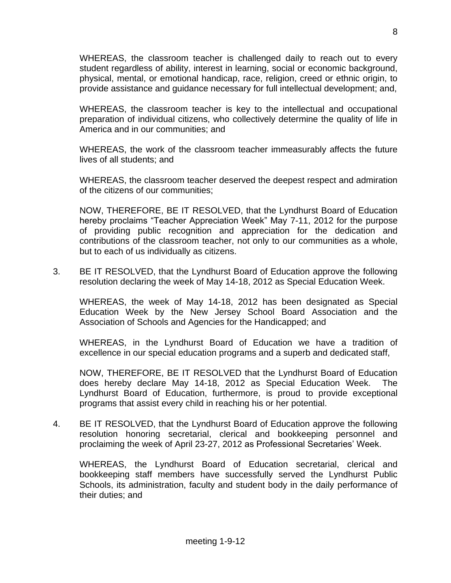WHEREAS, the classroom teacher is challenged daily to reach out to every student regardless of ability, interest in learning, social or economic background, physical, mental, or emotional handicap, race, religion, creed or ethnic origin, to provide assistance and guidance necessary for full intellectual development; and,

WHEREAS, the classroom teacher is key to the intellectual and occupational preparation of individual citizens, who collectively determine the quality of life in America and in our communities; and

WHEREAS, the work of the classroom teacher immeasurably affects the future lives of all students; and

WHEREAS, the classroom teacher deserved the deepest respect and admiration of the citizens of our communities;

NOW, THEREFORE, BE IT RESOLVED, that the Lyndhurst Board of Education hereby proclaims "Teacher Appreciation Week" May 7-11, 2012 for the purpose of providing public recognition and appreciation for the dedication and contributions of the classroom teacher, not only to our communities as a whole, but to each of us individually as citizens.

3. BE IT RESOLVED, that the Lyndhurst Board of Education approve the following resolution declaring the week of May 14-18, 2012 as Special Education Week.

WHEREAS, the week of May 14-18, 2012 has been designated as Special Education Week by the New Jersey School Board Association and the Association of Schools and Agencies for the Handicapped; and

WHEREAS, in the Lyndhurst Board of Education we have a tradition of excellence in our special education programs and a superb and dedicated staff,

NOW, THEREFORE, BE IT RESOLVED that the Lyndhurst Board of Education does hereby declare May 14-18, 2012 as Special Education Week. The Lyndhurst Board of Education, furthermore, is proud to provide exceptional programs that assist every child in reaching his or her potential.

4. BE IT RESOLVED, that the Lyndhurst Board of Education approve the following resolution honoring secretarial, clerical and bookkeeping personnel and proclaiming the week of April 23-27, 2012 as Professional Secretaries' Week.

WHEREAS, the Lyndhurst Board of Education secretarial, clerical and bookkeeping staff members have successfully served the Lyndhurst Public Schools, its administration, faculty and student body in the daily performance of their duties; and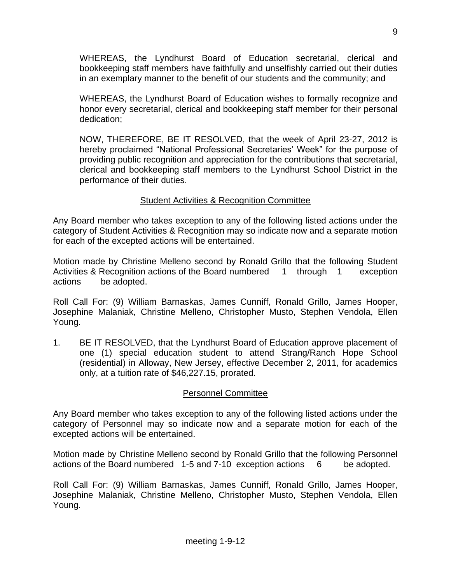WHEREAS, the Lyndhurst Board of Education secretarial, clerical and bookkeeping staff members have faithfully and unselfishly carried out their duties in an exemplary manner to the benefit of our students and the community; and

WHEREAS, the Lyndhurst Board of Education wishes to formally recognize and honor every secretarial, clerical and bookkeeping staff member for their personal dedication;

NOW, THEREFORE, BE IT RESOLVED, that the week of April 23-27, 2012 is hereby proclaimed "National Professional Secretaries' Week" for the purpose of providing public recognition and appreciation for the contributions that secretarial, clerical and bookkeeping staff members to the Lyndhurst School District in the performance of their duties.

# Student Activities & Recognition Committee

Any Board member who takes exception to any of the following listed actions under the category of Student Activities & Recognition may so indicate now and a separate motion for each of the excepted actions will be entertained.

Motion made by Christine Melleno second by Ronald Grillo that the following Student Activities & Recognition actions of the Board numbered 1 through 1 exception actions be adopted.

Roll Call For: (9) William Barnaskas, James Cunniff, Ronald Grillo, James Hooper, Josephine Malaniak, Christine Melleno, Christopher Musto, Stephen Vendola, Ellen Young.

1. BE IT RESOLVED, that the Lyndhurst Board of Education approve placement of one (1) special education student to attend Strang/Ranch Hope School (residential) in Alloway, New Jersey, effective December 2, 2011, for academics only, at a tuition rate of \$46,227.15, prorated.

# Personnel Committee

Any Board member who takes exception to any of the following listed actions under the category of Personnel may so indicate now and a separate motion for each of the excepted actions will be entertained.

Motion made by Christine Melleno second by Ronald Grillo that the following Personnel actions of the Board numbered 1-5 and 7-10 exception actions 6 be adopted.

Roll Call For: (9) William Barnaskas, James Cunniff, Ronald Grillo, James Hooper, Josephine Malaniak, Christine Melleno, Christopher Musto, Stephen Vendola, Ellen Young.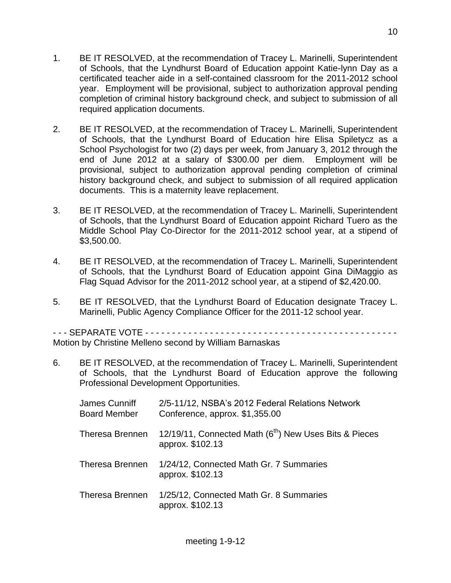10

- 1. BE IT RESOLVED, at the recommendation of Tracey L. Marinelli, Superintendent of Schools, that the Lyndhurst Board of Education appoint Katie-lynn Day as a certificated teacher aide in a self-contained classroom for the 2011-2012 school year. Employment will be provisional, subject to authorization approval pending completion of criminal history background check, and subject to submission of all required application documents.
- 2. BE IT RESOLVED, at the recommendation of Tracey L. Marinelli, Superintendent of Schools, that the Lyndhurst Board of Education hire Elisa Spiletycz as a School Psychologist for two (2) days per week, from January 3, 2012 through the end of June 2012 at a salary of \$300.00 per diem. Employment will be provisional, subject to authorization approval pending completion of criminal history background check, and subject to submission of all required application documents. This is a maternity leave replacement.
- 3. BE IT RESOLVED, at the recommendation of Tracey L. Marinelli, Superintendent of Schools, that the Lyndhurst Board of Education appoint Richard Tuero as the Middle School Play Co-Director for the 2011-2012 school year, at a stipend of \$3,500.00.
- 4. BE IT RESOLVED, at the recommendation of Tracey L. Marinelli, Superintendent of Schools, that the Lyndhurst Board of Education appoint Gina DiMaggio as Flag Squad Advisor for the 2011-2012 school year, at a stipend of \$2,420.00.
- 5. BE IT RESOLVED, that the Lyndhurst Board of Education designate Tracey L. Marinelli, Public Agency Compliance Officer for the 2011-12 school year.

- - - SEPARATE VOTE - - - - - - - - - - - - - - - - - - - - - - - - - - - - - - - - - - - - - - - - - - - - - - - Motion by Christine Melleno second by William Barnaskas

6. BE IT RESOLVED, at the recommendation of Tracey L. Marinelli, Superintendent of Schools, that the Lyndhurst Board of Education approve the following Professional Development Opportunities.

| James Cunniff<br><b>Board Member</b> | 2/5-11/12, NSBA's 2012 Federal Relations Network<br>Conference, approx. \$1,355.00     |
|--------------------------------------|----------------------------------------------------------------------------------------|
| Theresa Brennen                      | 12/19/11, Connected Math (6 <sup>th</sup> ) New Uses Bits & Pieces<br>approx. \$102.13 |
| <b>Theresa Brennen</b>               | 1/24/12, Connected Math Gr. 7 Summaries<br>approx. \$102.13                            |
| <b>Theresa Brennen</b>               | 1/25/12, Connected Math Gr. 8 Summaries<br>approx. \$102.13                            |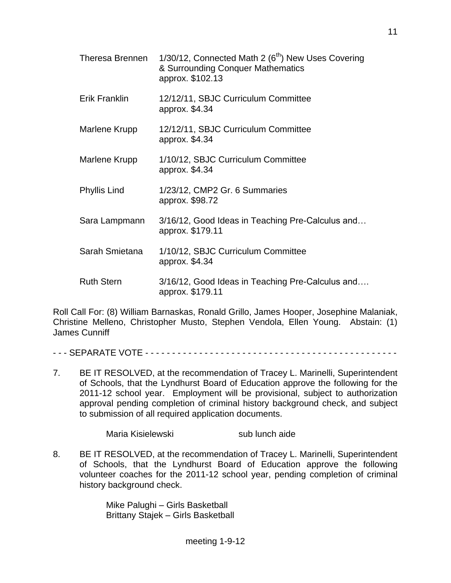| <b>Theresa Brennen</b> | 1/30/12, Connected Math 2 (6 <sup>th</sup> ) New Uses Covering<br>& Surrounding Conquer Mathematics<br>approx. \$102.13 |
|------------------------|-------------------------------------------------------------------------------------------------------------------------|
| Erik Franklin          | 12/12/11, SBJC Curriculum Committee<br>approx. \$4.34                                                                   |
| Marlene Krupp          | 12/12/11, SBJC Curriculum Committee<br>approx. \$4.34                                                                   |
| Marlene Krupp          | 1/10/12, SBJC Curriculum Committee<br>approx. \$4.34                                                                    |
| <b>Phyllis Lind</b>    | 1/23/12, CMP2 Gr. 6 Summaries<br>approx. \$98.72                                                                        |
| Sara Lampmann          | 3/16/12, Good Ideas in Teaching Pre-Calculus and<br>approx. \$179.11                                                    |
| Sarah Smietana         | 1/10/12, SBJC Curriculum Committee<br>approx. \$4.34                                                                    |
| <b>Ruth Stern</b>      | 3/16/12, Good Ideas in Teaching Pre-Calculus and<br>approx. \$179.11                                                    |

Roll Call For: (8) William Barnaskas, Ronald Grillo, James Hooper, Josephine Malaniak, Christine Melleno, Christopher Musto, Stephen Vendola, Ellen Young. Abstain: (1) James Cunniff

- - - SEPARATE VOTE - - - - - - - - - - - - - - - - - - - - - - - - - - - - - - - - - - - - - - - - - - - - - - -

7. BE IT RESOLVED, at the recommendation of Tracey L. Marinelli, Superintendent of Schools, that the Lyndhurst Board of Education approve the following for the 2011-12 school year. Employment will be provisional, subject to authorization approval pending completion of criminal history background check, and subject to submission of all required application documents.

Maria Kisielewski sub lunch aide

8. BE IT RESOLVED, at the recommendation of Tracey L. Marinelli, Superintendent of Schools, that the Lyndhurst Board of Education approve the following volunteer coaches for the 2011-12 school year, pending completion of criminal history background check.

> Mike Palughi – Girls Basketball Brittany Stajek – Girls Basketball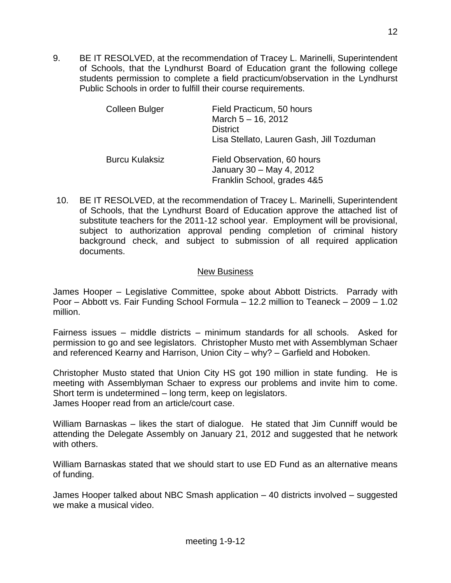9. BE IT RESOLVED, at the recommendation of Tracey L. Marinelli, Superintendent of Schools, that the Lyndhurst Board of Education grant the following college students permission to complete a field practicum/observation in the Lyndhurst Public Schools in order to fulfill their course requirements.

| Colleen Bulger        | Field Practicum, 50 hours<br>March $5 - 16$ , 2012<br><b>District</b><br>Lisa Stellato, Lauren Gash, Jill Tozduman |
|-----------------------|--------------------------------------------------------------------------------------------------------------------|
| <b>Burcu Kulaksiz</b> | Field Observation, 60 hours<br>January 30 - May 4, 2012<br>Franklin School, grades 4&5                             |

10. BE IT RESOLVED, at the recommendation of Tracey L. Marinelli, Superintendent of Schools, that the Lyndhurst Board of Education approve the attached list of substitute teachers for the 2011-12 school year. Employment will be provisional, subject to authorization approval pending completion of criminal history background check, and subject to submission of all required application documents.

## New Business

James Hooper – Legislative Committee, spoke about Abbott Districts. Parrady with Poor – Abbott vs. Fair Funding School Formula – 12.2 million to Teaneck – 2009 – 1.02 million.

Fairness issues – middle districts – minimum standards for all schools. Asked for permission to go and see legislators. Christopher Musto met with Assemblyman Schaer and referenced Kearny and Harrison, Union City – why? – Garfield and Hoboken.

Christopher Musto stated that Union City HS got 190 million in state funding. He is meeting with Assemblyman Schaer to express our problems and invite him to come. Short term is undetermined – long term, keep on legislators. James Hooper read from an article/court case.

William Barnaskas – likes the start of dialogue. He stated that Jim Cunniff would be attending the Delegate Assembly on January 21, 2012 and suggested that he network with others.

William Barnaskas stated that we should start to use ED Fund as an alternative means of funding.

James Hooper talked about NBC Smash application – 40 districts involved – suggested we make a musical video.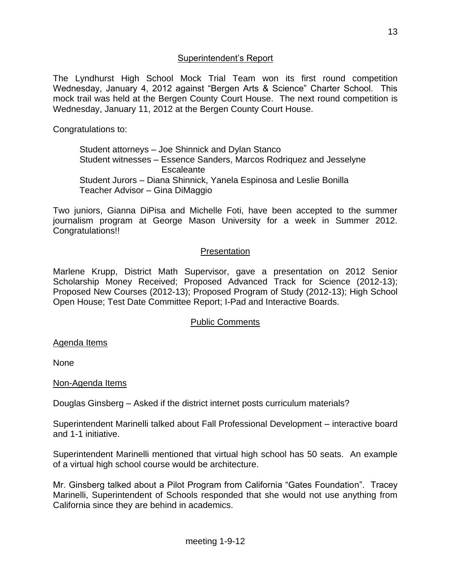The Lyndhurst High School Mock Trial Team won its first round competition Wednesday, January 4, 2012 against "Bergen Arts & Science" Charter School. This mock trail was held at the Bergen County Court House. The next round competition is Wednesday, January 11, 2012 at the Bergen County Court House.

Congratulations to:

Student attorneys – Joe Shinnick and Dylan Stanco Student witnesses – Essence Sanders, Marcos Rodriquez and Jesselyne **Escaleante** Student Jurors – Diana Shinnick, Yanela Espinosa and Leslie Bonilla Teacher Advisor – Gina DiMaggio

Two juniors, Gianna DiPisa and Michelle Foti, have been accepted to the summer journalism program at George Mason University for a week in Summer 2012. Congratulations!!

# **Presentation**

Marlene Krupp, District Math Supervisor, gave a presentation on 2012 Senior Scholarship Money Received; Proposed Advanced Track for Science (2012-13); Proposed New Courses (2012-13); Proposed Program of Study (2012-13); High School Open House; Test Date Committee Report; I-Pad and Interactive Boards.

# Public Comments

Agenda Items

None

## Non-Agenda Items

Douglas Ginsberg – Asked if the district internet posts curriculum materials?

Superintendent Marinelli talked about Fall Professional Development – interactive board and 1-1 initiative.

Superintendent Marinelli mentioned that virtual high school has 50 seats. An example of a virtual high school course would be architecture.

Mr. Ginsberg talked about a Pilot Program from California "Gates Foundation". Tracey Marinelli, Superintendent of Schools responded that she would not use anything from California since they are behind in academics.